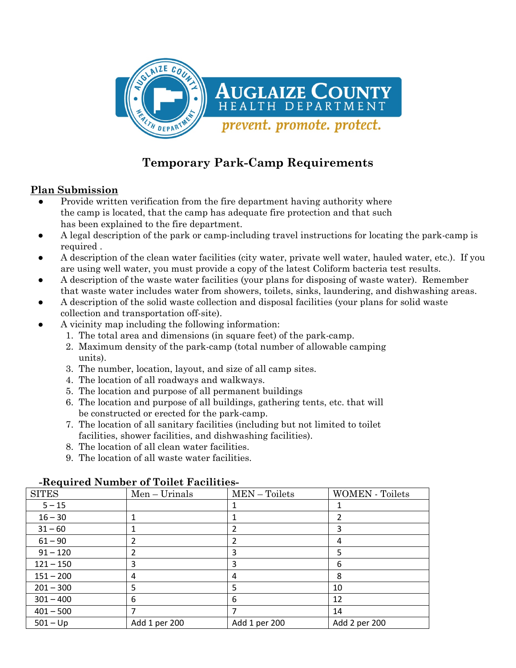

# **Temporary Park-Camp Requirements**

#### **Plan Submission**

- Provide written verification from the fire department having authority where the camp is located, that the camp has adequate fire protection and that such has been explained to the fire department.
- A legal description of the park or camp-including travel instructions for locating the park-camp is required .
- A description of the clean water facilities (city water, private well water, hauled water, etc.). If you are using well water, you must provide a copy of the latest Coliform bacteria test results.
- A description of the waste water facilities (your plans for disposing of waste water). Remember that waste water includes water from showers, toilets, sinks, laundering, and dishwashing areas.
- A description of the solid waste collection and disposal facilities (your plans for solid waste collection and transportation off-site).
- A vicinity map including the following information:
	- 1. The total area and dimensions (in square feet) of the park-camp.
	- 2. Maximum density of the park-camp (total number of allowable camping units).
	- 3. The number, location, layout, and size of all camp sites.
	- 4. The location of all roadways and walkways.
	- 5. The location and purpose of all permanent buildings
	- 6. The location and purpose of all buildings, gathering tents, etc. that will be constructed or erected for the park-camp.
	- 7. The location of all sanitary facilities (including but not limited to toilet facilities, shower facilities, and dishwashing facilities).
	- 8. The location of all clean water facilities.
	- 9. The location of all waste water facilities.

# **-Required Number of Toilet Facilities-**

| <b>SITES</b> | $Men-Urinals$ | MEN-Toilets   | <b>WOMEN</b> - Toilets |
|--------------|---------------|---------------|------------------------|
| $5 - 15$     |               |               |                        |
| $16 - 30$    |               |               |                        |
| $31 - 60$    |               |               | 3                      |
| $61 - 90$    | 2             | 2             | 4                      |
| $91 - 120$   | 2             | 3             | 5                      |
| $121 - 150$  | 3             | 3             | 6                      |
| $151 - 200$  | 4             | 4             | 8                      |
| $201 - 300$  | 5             | 5             | 10                     |
| $301 - 400$  | 6             | 6             | 12                     |
| $401 - 500$  |               |               | 14                     |
| $501 - Up$   | Add 1 per 200 | Add 1 per 200 | Add 2 per 200          |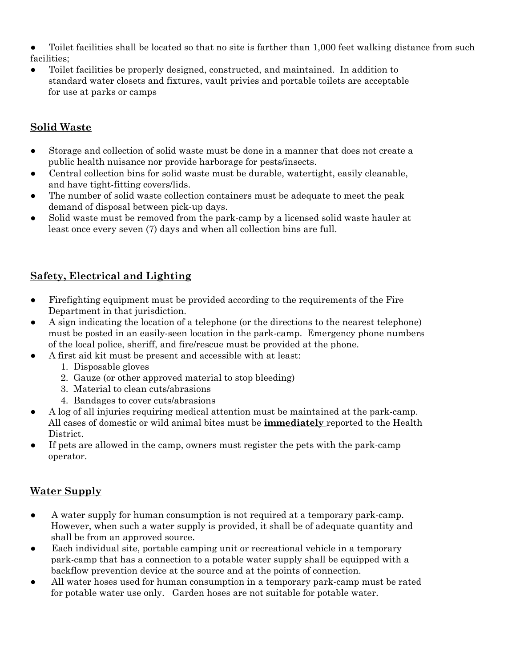- Toilet facilities shall be located so that no site is farther than 1,000 feet walking distance from such facilities;
- Toilet facilities be properly designed, constructed, and maintained. In addition to standard water closets and fixtures, vault privies and portable toilets are acceptable for use at parks or camps

### **Solid Waste**

- Storage and collection of solid waste must be done in a manner that does not create a public health nuisance nor provide harborage for pests/insects.
- Central collection bins for solid waste must be durable, watertight, easily cleanable, and have tight-fitting covers/lids.
- The number of solid waste collection containers must be adequate to meet the peak demand of disposal between pick-up days.
- Solid waste must be removed from the park-camp by a licensed solid waste hauler at least once every seven (7) days and when all collection bins are full.

## **Safety, Electrical and Lighting**

- Firefighting equipment must be provided according to the requirements of the Fire Department in that jurisdiction.
- A sign indicating the location of a telephone (or the directions to the nearest telephone) must be posted in an easily-seen location in the park-camp. Emergency phone numbers of the local police, sheriff, and fire/rescue must be provided at the phone.
- A first aid kit must be present and accessible with at least:
	- 1. Disposable gloves
	- 2. Gauze (or other approved material to stop bleeding)
	- 3. Material to clean cuts/abrasions
	- 4. Bandages to cover cuts/abrasions
- A log of all injuries requiring medical attention must be maintained at the park-camp. All cases of domestic or wild animal bites must be **immediately** reported to the Health District.
- If pets are allowed in the camp, owners must register the pets with the park-camp operator.

#### **Water Supply**

- A water supply for human consumption is not required at a temporary park-camp. However, when such a water supply is provided, it shall be of adequate quantity and shall be from an approved source.
- Each individual site, portable camping unit or recreational vehicle in a temporary park-camp that has a connection to a potable water supply shall be equipped with a backflow prevention device at the source and at the points of connection.
- All water hoses used for human consumption in a temporary park-camp must be rated for potable water use only. Garden hoses are not suitable for potable water.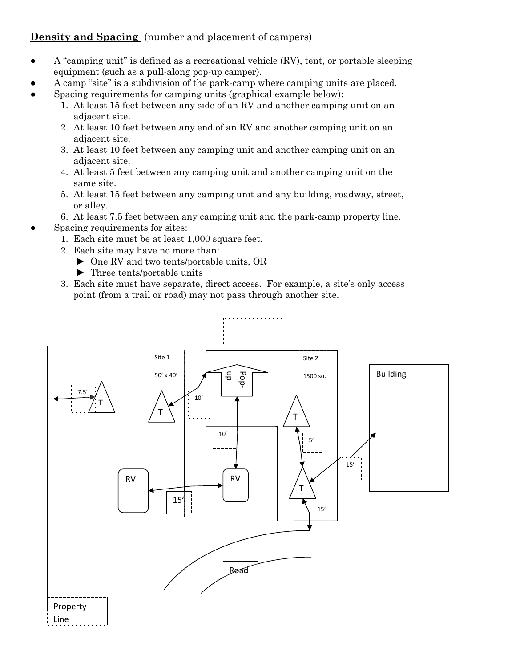#### **Density and Spacing** (number and placement of campers)

- $\bullet$  A "camping unit" is defined as a recreational vehicle (RV), tent, or portable sleeping equipment (such as a pull-along pop-up camper).
- A camp "site" is a subdivision of the park-camp where camping units are placed.
- Spacing requirements for camping units (graphical example below):
	- 1. At least 15 feet between any side of an RV and another camping unit on an adjacent site.
	- 2. At least 10 feet between any end of an RV and another camping unit on an adjacent site.
	- 3. At least 10 feet between any camping unit and another camping unit on an adjacent site.
	- 4. At least 5 feet between any camping unit and another camping unit on the same site.
	- 5. At least 15 feet between any camping unit and any building, roadway, street, or alley.
	- 6. At least 7.5 feet between any camping unit and the park-camp property line.
- Spacing requirements for sites:
	- 1. Each site must be at least 1,000 square feet.
	- 2. Each site may have no more than:
		- ► One RV and two tents/portable units, OR
		- ► Three tents/portable units
	- 3. Each site must have separate, direct access. For example, a site's only access point (from a trail or road) may not pass through another site.